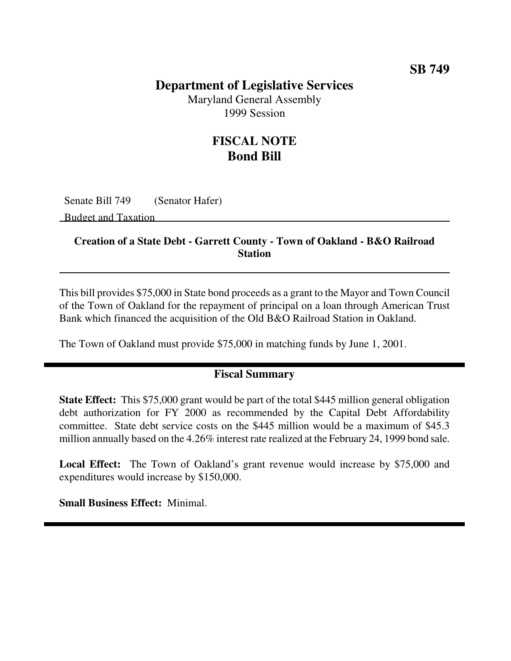## **Department of Legislative Services**

Maryland General Assembly 1999 Session

## **FISCAL NOTE Bond Bill**

Senate Bill 749 (Senator Hafer)

Budget and Taxation

#### **Creation of a State Debt - Garrett County - Town of Oakland - B&O Railroad Station**

This bill provides \$75,000 in State bond proceeds as a grant to the Mayor and Town Council of the Town of Oakland for the repayment of principal on a loan through American Trust Bank which financed the acquisition of the Old B&O Railroad Station in Oakland.

The Town of Oakland must provide \$75,000 in matching funds by June 1, 2001.

### **Fiscal Summary**

**State Effect:** This \$75,000 grant would be part of the total \$445 million general obligation debt authorization for FY 2000 as recommended by the Capital Debt Affordability committee. State debt service costs on the \$445 million would be a maximum of \$45.3 million annually based on the 4.26% interest rate realized at the February 24, 1999 bond sale.

**Local Effect:** The Town of Oakland's grant revenue would increase by \$75,000 and expenditures would increase by \$150,000.

**Small Business Effect:** Minimal.